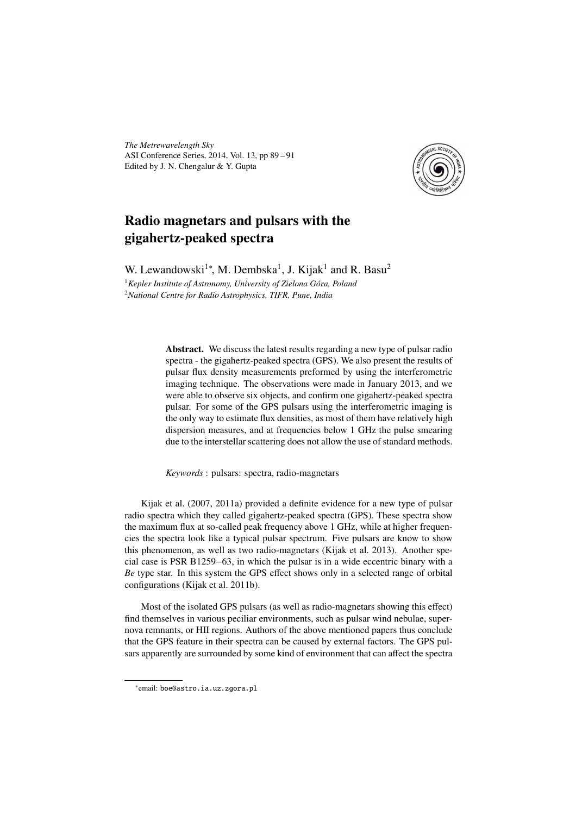*The Metrewavelength Sky* ASI Conference Series, 2014, Vol. 13, pp 89 – 91 Edited by J. N. Chengalur & Y. Gupta



## Radio magnetars and pulsars with the gigahertz-peaked spectra

W. Lewandowski<sup>1</sup><sup>\*</sup>, M. Dembska<sup>1</sup>, J. Kijak<sup>1</sup> and R. Basu<sup>2</sup> <sup>1</sup>*Kepler Institute of Astronomy, University of Zielona Góra, Poland* <sup>2</sup>*National Centre for Radio Astrophysics, TIFR, Pune, India*

> Abstract. We discuss the latest results regarding a new type of pulsar radio spectra - the gigahertz-peaked spectra (GPS). We also present the results of pulsar flux density measurements preformed by using the interferometric imaging technique. The observations were made in January 2013, and we were able to observe six objects, and confirm one gigahertz-peaked spectra pulsar. For some of the GPS pulsars using the interferometric imaging is the only way to estimate flux densities, as most of them have relatively high dispersion measures, and at frequencies below 1 GHz the pulse smearing due to the interstellar scattering does not allow the use of standard methods.

*Keywords* : pulsars: spectra, radio-magnetars

Kijak et al. (2007, 2011a) provided a definite evidence for a new type of pulsar radio spectra which they called gigahertz-peaked spectra (GPS). These spectra show the maximum flux at so-called peak frequency above 1 GHz, while at higher frequencies the spectra look like a typical pulsar spectrum. Five pulsars are know to show this phenomenon, as well as two radio-magnetars (Kijak et al. 2013). Another special case is PSR B1259−63, in which the pulsar is in a wide eccentric binary with a *Be* type star. In this system the GPS effect shows only in a selected range of orbital configurations (Kijak et al. 2011b).

Most of the isolated GPS pulsars (as well as radio-magnetars showing this effect) find themselves in various peciliar environments, such as pulsar wind nebulae, supernova remnants, or HII regions. Authors of the above mentioned papers thus conclude that the GPS feature in their spectra can be caused by external factors. The GPS pulsars apparently are surrounded by some kind of environment that can affect the spectra

<sup>∗</sup> email: boe@astro.ia.uz.zgora.pl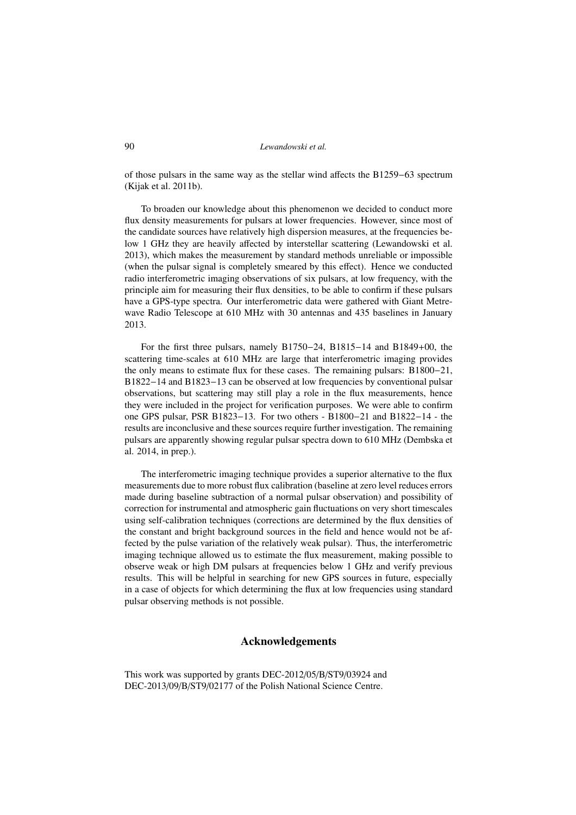of those pulsars in the same way as the stellar wind affects the B1259−63 spectrum (Kijak et al. 2011b).

To broaden our knowledge about this phenomenon we decided to conduct more flux density measurements for pulsars at lower frequencies. However, since most of the candidate sources have relatively high dispersion measures, at the frequencies below 1 GHz they are heavily affected by interstellar scattering (Lewandowski et al. 2013), which makes the measurement by standard methods unreliable or impossible (when the pulsar signal is completely smeared by this effect). Hence we conducted radio interferometric imaging observations of six pulsars, at low frequency, with the principle aim for measuring their flux densities, to be able to confirm if these pulsars have a GPS-type spectra. Our interferometric data were gathered with Giant Metrewave Radio Telescope at 610 MHz with 30 antennas and 435 baselines in January 2013.

For the first three pulsars, namely B1750−24, B1815−14 and B1849+00, the scattering time-scales at 610 MHz are large that interferometric imaging provides the only means to estimate flux for these cases. The remaining pulsars: B1800−21, B1822−14 and B1823−13 can be observed at low frequencies by conventional pulsar observations, but scattering may still play a role in the flux measurements, hence they were included in the project for verification purposes. We were able to confirm one GPS pulsar, PSR B1823−13. For two others - B1800−21 and B1822−14 - the results are inconclusive and these sources require further investigation. The remaining pulsars are apparently showing regular pulsar spectra down to 610 MHz (Dembska et al. 2014, in prep.).

The interferometric imaging technique provides a superior alternative to the flux measurements due to more robust flux calibration (baseline at zero level reduces errors made during baseline subtraction of a normal pulsar observation) and possibility of correction for instrumental and atmospheric gain fluctuations on very short timescales using self-calibration techniques (corrections are determined by the flux densities of the constant and bright background sources in the field and hence would not be affected by the pulse variation of the relatively weak pulsar). Thus, the interferometric imaging technique allowed us to estimate the flux measurement, making possible to observe weak or high DM pulsars at frequencies below 1 GHz and verify previous results. This will be helpful in searching for new GPS sources in future, especially in a case of objects for which determining the flux at low frequencies using standard pulsar observing methods is not possible.

## Acknowledgements

This work was supported by grants DEC-2012/05/B/ST9/03924 and DEC-2013/09/B/ST9/02177 of the Polish National Science Centre.